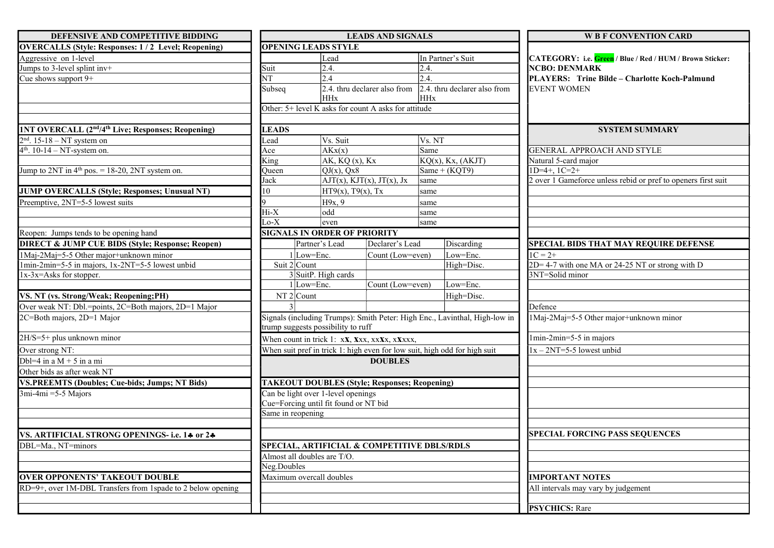| DEFENSIVE AND COMPETITIVE BIDDING                                          | <b>LEADS AND SIGNALS</b>                                                                                         |                                     |                                                      |            | <b>W B F CONVENTION CARD</b>                                      |                                                               |  |
|----------------------------------------------------------------------------|------------------------------------------------------------------------------------------------------------------|-------------------------------------|------------------------------------------------------|------------|-------------------------------------------------------------------|---------------------------------------------------------------|--|
| <b>OVERCALLS (Style: Responses: 1/2 Level; Reopening)</b>                  |                                                                                                                  | <b>OPENING LEADS STYLE</b>          |                                                      |            |                                                                   |                                                               |  |
| Aggressive on 1-level                                                      |                                                                                                                  | Lead                                |                                                      |            | In Partner's Suit                                                 | CATEGORY: i.e. Green / Blue / Red / HUM / Brown Sticker:      |  |
| Jumps to 3-level splint inv+                                               | Suit                                                                                                             |                                     | 2.4.                                                 |            |                                                                   | <b>NCBO: DENMARK</b>                                          |  |
| Cue shows support 9+                                                       | NT                                                                                                               | 2.4                                 |                                                      | 2.4.       |                                                                   | PLAYERS: Trine Bilde - Charlotte Koch-Palmund                 |  |
|                                                                            | Subseq                                                                                                           |                                     |                                                      |            | 2.4. thru declarer also from $\vert$ 2.4. thru declarer also from | <b>EVENT WOMEN</b>                                            |  |
|                                                                            |                                                                                                                  | <b>HHx</b>                          |                                                      | <b>HHx</b> |                                                                   |                                                               |  |
|                                                                            |                                                                                                                  |                                     | Other: 5+ level K asks for count A asks for attitude |            |                                                                   |                                                               |  |
|                                                                            |                                                                                                                  |                                     |                                                      |            |                                                                   |                                                               |  |
| 1NT OVERCALL (2 <sup>nd</sup> /4 <sup>th</sup> Live; Responses; Reopening) | <b>LEADS</b>                                                                                                     |                                     |                                                      |            |                                                                   | <b>SYSTEM SUMMARY</b>                                         |  |
| $2nd$ . 15-18 – NT system on                                               | Lead                                                                                                             | Vs. Suit                            |                                                      | Vs. NT     |                                                                   |                                                               |  |
| $4th$ . 10-14 – NT-system on.                                              | Ace                                                                                                              | $\overline{AKx}(x)$                 |                                                      | Same       |                                                                   | GENERAL APPROACH AND STYLE                                    |  |
|                                                                            | $\overline{\text{King}}$                                                                                         |                                     | AK, KQ(x), Kx                                        |            | $KQ(x)$ , Kx, $(AKJT)$                                            | Natural 5-card major                                          |  |
| Jump to $2NT$ in $4th$ pos. = 18-20, 2NT system on.                        | Queen                                                                                                            |                                     | $QJ(x)$ , $Qx8$                                      |            | Same + $(KQT9)$                                                   | $1D=4+, 1C=2+$                                                |  |
|                                                                            | Jack                                                                                                             |                                     | $AT(x)$ , KJT(x), JT(x), Jx                          | same       |                                                                   | 2 over 1 Gameforce unless rebid or pref to openers first suit |  |
| JUMP OVERCALLS (Style; Responses; Unusual NT)                              | 10                                                                                                               |                                     | $HT9(x)$ , T $9(x)$ , Tx                             | same       |                                                                   |                                                               |  |
| Preemptive, 2NT=5-5 lowest suits                                           |                                                                                                                  |                                     | H9x, 9                                               |            |                                                                   |                                                               |  |
|                                                                            | Hi-X                                                                                                             | odd                                 |                                                      | same       |                                                                   |                                                               |  |
|                                                                            | $Lo-X$                                                                                                           | even                                |                                                      | same       |                                                                   |                                                               |  |
| Reopen: Jumps tends to be opening hand                                     |                                                                                                                  | <b>SIGNALS IN ORDER OF PRIORITY</b> |                                                      |            |                                                                   |                                                               |  |
| <b>DIRECT &amp; JUMP CUE BIDS (Style; Response; Reopen)</b>                |                                                                                                                  | Partner's Lead                      | Declarer's Lead                                      |            | Discarding                                                        | <b>SPECIAL BIDS THAT MAY REQUIRE DEFENSE</b>                  |  |
| 1Maj-2Maj=5-5 Other major+unknown minor                                    |                                                                                                                  | $1$ Low=Enc.                        | Count (Low=even)                                     |            | Low=Enc.                                                          | $1C = 2+$                                                     |  |
| 1min-2min=5-5 in majors, 1x-2NT=5-5 lowest unbid                           | Suit $2$ Count                                                                                                   |                                     |                                                      |            | High=Disc.                                                        | 2D=4-7 with one MA or 24-25 NT or strong with D               |  |
| 1x-3x=Asks for stopper.                                                    |                                                                                                                  | $3$ SuitP. High cards               |                                                      |            |                                                                   | 3NT=Solid minor                                               |  |
|                                                                            |                                                                                                                  | $1$ Low=Enc.                        | Count (Low=even)                                     |            | Low=Enc.                                                          |                                                               |  |
| VS. NT (vs. Strong/Weak; Reopening;PH)                                     |                                                                                                                  | $NT2$ Count                         |                                                      |            | High=Disc.                                                        |                                                               |  |
| Over weak NT: Dbl.=points, 2C=Both majors, 2D=1 Major                      |                                                                                                                  |                                     |                                                      |            |                                                                   | Defence                                                       |  |
| 2C=Both majors, 2D=1 Major                                                 | Signals (including Trumps): Smith Peter: High Enc., Lavinthal, High-low in<br>trump suggests possibility to ruff |                                     |                                                      |            | 1Maj-2Maj=5-5 Other major+unknown minor                           |                                                               |  |
| 2H/S=5+ plus unknown minor                                                 | When count in trick 1: xx, xxx, xxxx, xxxxx,                                                                     |                                     |                                                      |            | 1min-2min=5-5 in majors                                           |                                                               |  |
| Over strong NT:                                                            | When suit pref in trick 1: high even for low suit, high odd for high suit                                        |                                     |                                                      |            | $1x - 2NT = 5 - 5$ lowest unbid                                   |                                                               |  |
| Dbl=4 in a $M + 5$ in a mi                                                 |                                                                                                                  |                                     | <b>DOUBLES</b>                                       |            |                                                                   |                                                               |  |
| Other bids as after weak NT                                                |                                                                                                                  |                                     |                                                      |            |                                                                   |                                                               |  |
| <b>VS.PREEMTS (Doubles; Cue-bids; Jumps; NT Bids)</b>                      |                                                                                                                  |                                     | <b>TAKEOUT DOUBLES (Style; Responses; Reopening)</b> |            |                                                                   |                                                               |  |
| $3mi-4mi = 5-5$ Majors                                                     | Can be light over 1-level openings                                                                               |                                     |                                                      |            |                                                                   |                                                               |  |
|                                                                            | Cue=Forcing until fit found or NT bid                                                                            |                                     |                                                      |            |                                                                   |                                                               |  |
|                                                                            | Same in reopening                                                                                                |                                     |                                                      |            |                                                                   |                                                               |  |
|                                                                            |                                                                                                                  |                                     |                                                      |            |                                                                   |                                                               |  |
| VS. ARTIFICIAL STRONG OPENINGS- i.e. 14 or 24                              |                                                                                                                  |                                     |                                                      |            |                                                                   | <b>SPECIAL FORCING PASS SEQUENCES</b>                         |  |
| DBL=Ma., NT=minors                                                         |                                                                                                                  |                                     | SPECIAL, ARTIFICIAL & COMPETITIVE DBLS/RDLS          |            |                                                                   |                                                               |  |
|                                                                            |                                                                                                                  | Almost all doubles are T/O.         |                                                      |            |                                                                   |                                                               |  |
|                                                                            | Neg.Doubles                                                                                                      |                                     |                                                      |            |                                                                   |                                                               |  |
| <b>OVER OPPONENTS' TAKEOUT DOUBLE</b>                                      | Maximum overcall doubles                                                                                         |                                     |                                                      |            | <b>IMPORTANT NOTES</b>                                            |                                                               |  |
| RD=9+, over 1M-DBL Transfers from 1spade to 2 below opening                |                                                                                                                  |                                     |                                                      |            |                                                                   | All intervals may vary by judgement                           |  |
|                                                                            |                                                                                                                  |                                     |                                                      |            |                                                                   |                                                               |  |
|                                                                            |                                                                                                                  |                                     |                                                      |            |                                                                   | <b>PSYCHICS: Rare</b>                                         |  |
|                                                                            |                                                                                                                  |                                     |                                                      |            |                                                                   |                                                               |  |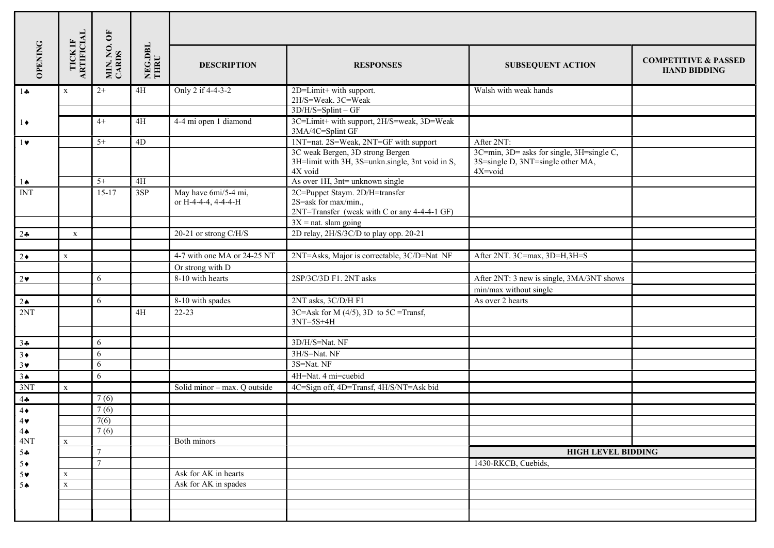| <b>OPENING</b>                   | TICK IF<br>ARTIFICIAL | MIN. NO. OF<br>CARDS | NEG.DBL<br>THRU | <b>DESCRIPTION</b>                           | <b>RESPONSES</b>                                                                                       | <b>SUBSEQUENT ACTION</b>                                                                  | <b>COMPETITIVE &amp; PASSED</b><br><b>HAND BIDDING</b> |
|----------------------------------|-----------------------|----------------------|-----------------|----------------------------------------------|--------------------------------------------------------------------------------------------------------|-------------------------------------------------------------------------------------------|--------------------------------------------------------|
| $1 -$                            | $\mathbf X$           | $2+$                 | 4H              | Only 2 if 4-4-3-2                            | 2D=Limit+ with support.<br>2H/S=Weak. 3C=Weak                                                          | Walsh with weak hands                                                                     |                                                        |
|                                  |                       |                      |                 |                                              | $3D/H/S = Split - GF$                                                                                  |                                                                                           |                                                        |
| $1\bullet$                       |                       | $4+$                 | 4H              | 4-4 mi open 1 diamond                        | 3C=Limit+ with support, 2H/S=weak, 3D=Weak<br>3MA/4C=Splint GF                                         |                                                                                           |                                                        |
| $1\bullet$                       |                       | $5+$                 | $4D$            |                                              | 1NT=nat. 2S=Weak, 2NT=GF with support                                                                  | After 2NT:                                                                                |                                                        |
|                                  |                       |                      |                 |                                              | 3C weak Bergen, 3D strong Bergen<br>3H=limit with 3H, 3S=unkn.single, 3nt void in S,<br>4X void        | 3C=min, 3D= asks for single, 3H=single C,<br>3S=single D, 3NT=single other MA,<br>4X=void |                                                        |
| $1\spadesuit$                    |                       | $5+$                 | 4H              |                                              | As over 1H, 3nt= unknown single                                                                        |                                                                                           |                                                        |
| <b>INT</b>                       |                       | $15-17$              | 3SP             | May have 6mi/5-4 mi,<br>or H-4-4-4, 4-4-4-H  | 2C=Puppet Staym. 2D/H=transfer<br>2S=ask for max/min.,<br>2NT=Transfer (weak with C or any 4-4-4-1 GF) |                                                                                           |                                                        |
|                                  |                       |                      |                 |                                              | $3X$ = nat. slam going                                                                                 |                                                                                           |                                                        |
| $2 - 2$                          | $\mathbf{X}$          |                      |                 | 20-21 or strong C/H/S                        | 2D relay, 2H/S/3C/D to play opp. 20-21                                                                 |                                                                                           |                                                        |
|                                  |                       |                      |                 |                                              |                                                                                                        |                                                                                           |                                                        |
| $2\bullet$                       | $\mathbf X$           |                      |                 | 4-7 with one MA or 24-25 NT                  | 2NT=Asks, Major is correctable, 3C/D=Nat NF                                                            | After 2NT. 3C=max, 3D=H,3H=S                                                              |                                                        |
|                                  |                       |                      |                 | Or strong with D<br>8-10 with hearts         | 2SP/3C/3D F1. 2NT asks                                                                                 | After 2NT: 3 new is single, 3MA/3NT shows                                                 |                                                        |
| $2\bullet$                       |                       | 6                    |                 |                                              |                                                                                                        |                                                                                           |                                                        |
|                                  |                       | 6                    |                 | 8-10 with spades                             | 2NT asks, 3C/D/H F1                                                                                    | min/max without single<br>As over 2 hearts                                                |                                                        |
| $2 \spadesuit$<br>2NT            |                       |                      | 4H              | $22 - 23$                                    | 3C=Ask for M $(4/5)$ , 3D to 5C =Transf,                                                               |                                                                                           |                                                        |
|                                  |                       |                      |                 |                                              | $3NT=5S+4H$                                                                                            |                                                                                           |                                                        |
| $3 +$                            |                       | 6                    |                 |                                              | 3D/H/S=Nat. NF                                                                                         |                                                                                           |                                                        |
| $3 \bullet$                      |                       | 6                    |                 |                                              | 3H/S=Nat. NF                                                                                           |                                                                                           |                                                        |
| $3\vee$                          |                       | 6                    |                 |                                              | 3S=Nat. NF                                                                                             |                                                                                           |                                                        |
| 3 <sub>•</sub>                   |                       | 6                    |                 |                                              | 4H=Nat. 4 mi=cuebid                                                                                    |                                                                                           |                                                        |
| 3N1                              | $\mathbf{x}$          |                      |                 | Solid minor - max. Q outside                 | 4C=Sign off, 4D=Transf, 4H/S/NT=Ask bid                                                                |                                                                                           |                                                        |
| 44                               |                       | 7(6)                 |                 |                                              |                                                                                                        |                                                                                           |                                                        |
| $4\bullet$                       |                       | 7(6)                 |                 |                                              |                                                                                                        |                                                                                           |                                                        |
| $4\bullet$                       |                       | 7(6)                 |                 |                                              |                                                                                                        |                                                                                           |                                                        |
| $4 \spadesuit$                   |                       | 7(6)                 |                 |                                              |                                                                                                        |                                                                                           |                                                        |
| 4NT                              | X                     |                      |                 | Both minors                                  |                                                                                                        |                                                                                           |                                                        |
| 54                               |                       | $\overline{7}$       |                 |                                              |                                                                                                        | <b>HIGH LEVEL BIDDING</b>                                                                 |                                                        |
| $5\bullet$                       |                       | $\overline{7}$       |                 |                                              |                                                                                                        | 1430-RKCB, Cuebids,                                                                       |                                                        |
| 5 <sub>v</sub><br>5 <sub>•</sub> | X                     |                      |                 | Ask for AK in hearts<br>Ask for AK in spades |                                                                                                        |                                                                                           |                                                        |
|                                  | $\mathbf X$           |                      |                 |                                              |                                                                                                        |                                                                                           |                                                        |
|                                  |                       |                      |                 |                                              |                                                                                                        |                                                                                           |                                                        |
|                                  |                       |                      |                 |                                              |                                                                                                        |                                                                                           |                                                        |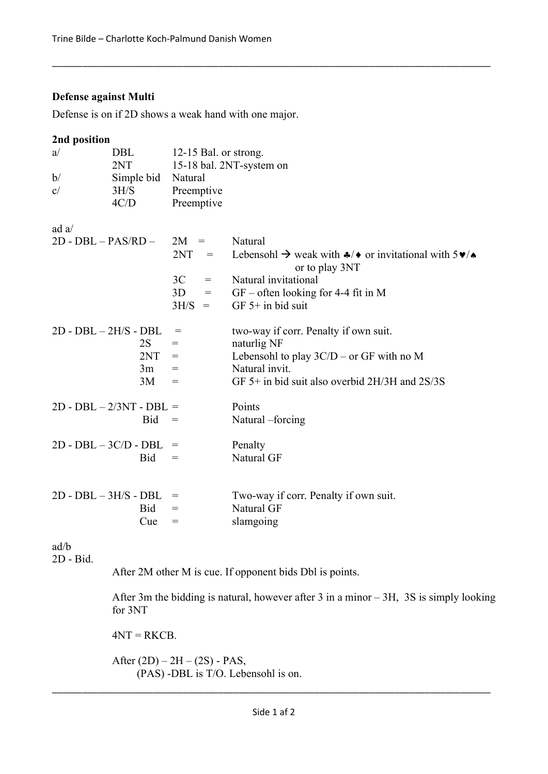# Defense against Multi

Defense is on if 2D shows a weak hand with one major.

## 2nd position

| a/                         | DBL<br>2NT |                   | 12-15 Bal. or strong.<br>15-18 bal. 2NT-system on |                                                                                                                            |  |  |  |
|----------------------------|------------|-------------------|---------------------------------------------------|----------------------------------------------------------------------------------------------------------------------------|--|--|--|
| b/                         | Simple bid |                   | Natural                                           |                                                                                                                            |  |  |  |
| c/                         | 3H/S       | Preemptive        |                                                   |                                                                                                                            |  |  |  |
|                            | 4C/D       | Preemptive        |                                                   |                                                                                                                            |  |  |  |
| ad $a/$                    |            |                   |                                                   |                                                                                                                            |  |  |  |
| $2D - DBL - PAS/RD -$      |            | $2M =$            |                                                   | Natural                                                                                                                    |  |  |  |
|                            |            | 2NT               | $\hspace*{0.4em} = \hspace*{0.4em}$               | Lebensohl $\rightarrow$ weak with $\clubsuit/\bullet$ or invitational with $5\blacktriangledown/\bullet$<br>or to play 3NT |  |  |  |
|                            |            | 3C                | $=$                                               | Natural invitational                                                                                                       |  |  |  |
|                            |            | 3D                | $=$                                               | $GF$ – often looking for 4-4 fit in M                                                                                      |  |  |  |
|                            |            | 3H/S              | $=$                                               | GF $5+$ in bid suit                                                                                                        |  |  |  |
| $2D - DBL - 2H/S - DBL$    |            | $=$               |                                                   | two-way if corr. Penalty if own suit.                                                                                      |  |  |  |
|                            | 2S         | $=$               |                                                   | naturlig NF                                                                                                                |  |  |  |
|                            | 2NT        | $=$               |                                                   | Lebensohl to play $3C/D$ – or GF with no M                                                                                 |  |  |  |
|                            | 3m         | $=$               |                                                   | Natural invit.                                                                                                             |  |  |  |
|                            | 3M         | $=$               |                                                   | GF 5+ in bid suit also overbid $2H/3H$ and $2S/3S$                                                                         |  |  |  |
| $2D - DBL - 2/3NT - DBL =$ |            |                   |                                                   | Points                                                                                                                     |  |  |  |
|                            | Bid        | $\!\!\!=\!\!\!\!$ |                                                   | Natural –forcing                                                                                                           |  |  |  |
|                            |            |                   |                                                   |                                                                                                                            |  |  |  |
| $2D - DBL - 3C/D - DBL$    |            | $=$               |                                                   | Penalty                                                                                                                    |  |  |  |
|                            | Bid        | $=$               |                                                   | Natural GF                                                                                                                 |  |  |  |
|                            |            |                   |                                                   |                                                                                                                            |  |  |  |
| $2D - DBL - 3H/S - DBL$    |            | $=$               |                                                   | Two-way if corr. Penalty if own suit.                                                                                      |  |  |  |
|                            | Bid        | $=$               |                                                   | Natural GF                                                                                                                 |  |  |  |
|                            | Cue        | $=$               |                                                   | slamgoing                                                                                                                  |  |  |  |
|                            |            |                   |                                                   |                                                                                                                            |  |  |  |
| ad/b                       |            |                   |                                                   |                                                                                                                            |  |  |  |

\_\_\_\_\_\_\_\_\_\_\_\_\_\_\_\_\_\_\_\_\_\_\_\_\_\_\_\_\_\_\_\_\_\_\_\_\_\_\_\_\_\_\_\_\_\_\_\_\_\_\_\_\_\_\_\_\_\_\_\_\_\_\_\_\_\_\_\_\_\_\_\_\_\_\_\_\_\_\_\_\_\_\_\_\_\_\_

2D - Bid.

After 2M other M is cue. If opponent bids Dbl is points.

After 3m the bidding is natural, however after 3 in a minor – 3H, 3S is simply looking for 3NT

 $4NT = RKCB$ .

After  $(2D) - 2H - (2S) - PAS$ , (PAS) -DBL is T/O. Lebensohl is on.

\_\_\_\_\_\_\_\_\_\_\_\_\_\_\_\_\_\_\_\_\_\_\_\_\_\_\_\_\_\_\_\_\_\_\_\_\_\_\_\_\_\_\_\_\_\_\_\_\_\_\_\_\_\_\_\_\_\_\_\_\_\_\_\_\_\_\_\_\_\_\_\_\_\_\_\_\_\_\_\_\_\_\_\_\_\_\_